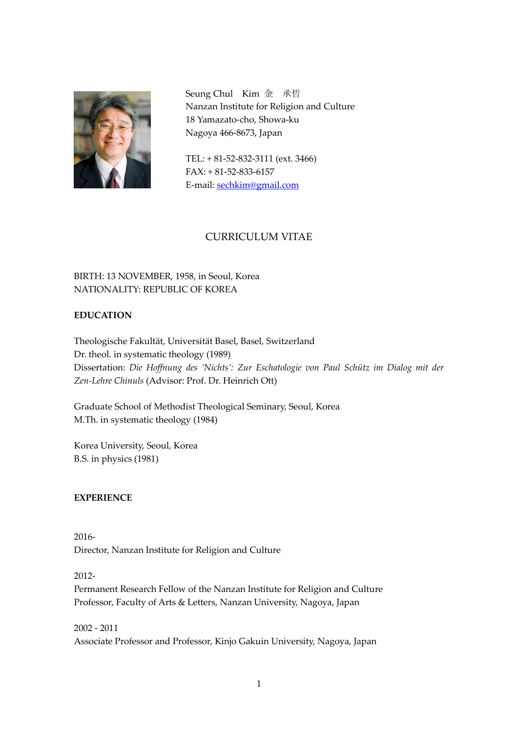

Seung Chul Kim 金 承哲 Nanzan Institute for Religion and Culture 18 Yamazato-cho, Showa-ku Nagoya 466-8673, Japan

TEL: + 81-52-832-3111 (ext. 3466) FAX: + 81-52-833-6157 E-mail: [sechkim@gmail.com](mailto:sechkim@gmail.com)

# CURRICULUM VITAE

# BIRTH: 13 NOVEMBER, 1958, in Seoul, Korea NATIONALITY: REPUBLIC OF KOREA

## **EDUCATION**

Theologische Fakultät, Universität Basel, Basel, Switzerland Dr. theol. in systematic theology (1989) Dissertation: *Die Hoffnung des 'Nichts': Zur Eschatologie von Paul Schütz im Dialog mit der Zen-Lehre Chinuls* (Advisor: Prof. Dr. Heinrich Ott)

Graduate School of Methodist Theological Seminary, Seoul, Korea M.Th. in systematic theology (1984)

Korea University, Seoul, Korea B.S. in physics (1981)

## **EXPERIENCE**

2016- Director, Nanzan Institute for Religion and Culture

2012-

Permanent Research Fellow of the Nanzan Institute for Religion and Culture Professor, Faculty of Arts & Letters, Nanzan University, Nagoya, Japan

2002 - 2011 Associate Professor and Professor, Kinjo Gakuin University, Nagoya, Japan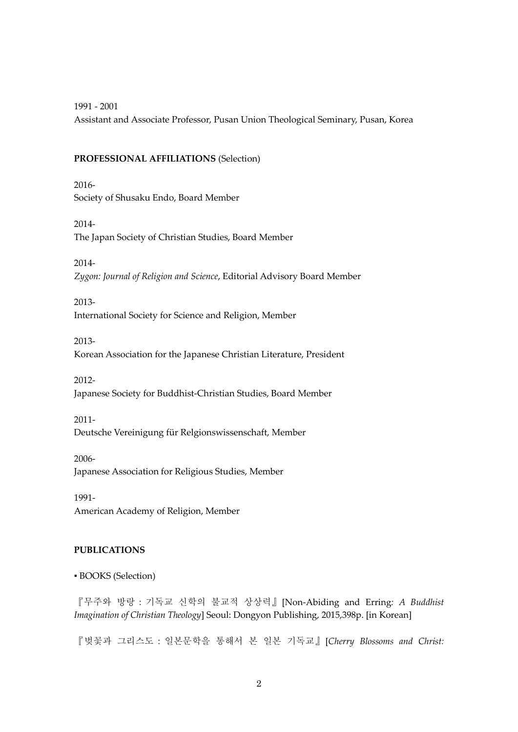1991 - 2001

Assistant and Associate Professor, Pusan Union Theological Seminary, Pusan, Korea

#### **PROFESSIONAL AFFILIATIONS** (Selection)

2016- Society of Shusaku Endo, Board Member

2014- The Japan Society of Christian Studies, Board Member

2014- *Zygon: Journal of Religion and Science*, Editorial Advisory Board Member

2013- International Society for Science and Religion, Member

2013-

Korean Association for the Japanese Christian Literature, President

2012-

Japanese Society for Buddhist-Christian Studies, Board Member

2011-

Deutsche Vereinigung für Relgionswissenschaft, Member

2006- Japanese Association for Religious Studies, Member

1991- American Academy of Religion, Member

#### **PUBLICATIONS**

▪ BOOKS (Selection)

『무주와 방랑:기독교 신학의 불교적 상상력』[Non-Abiding and Erring*: A Buddhist Imagination of Christian Theology*] Seoul: Dongyon Publishing, 2015,398p. [in Korean]

『벚꽃과 그리스도:일본문학을 통해서 본 일본 기독교』[*Cherry Blossoms and Christ:*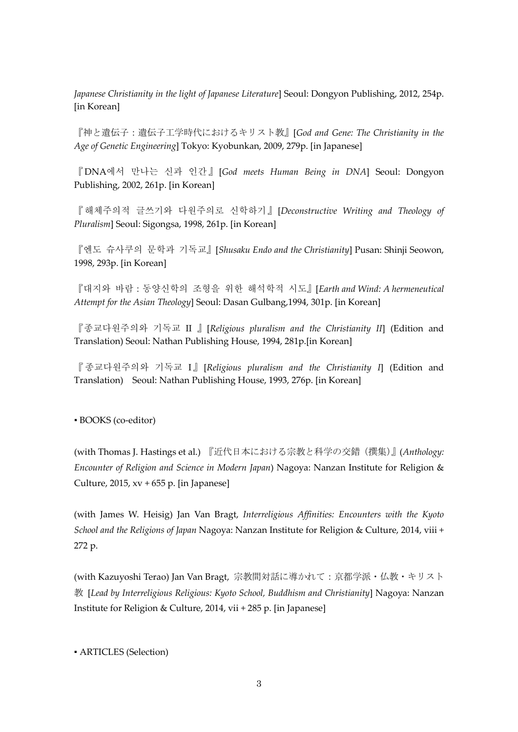*Japanese Christianity in the light of Japanese Literature*] Seoul: Dongyon Publishing, 2012, 254p. [in Korean]

『神と遺伝子:遺伝子工学時代におけるキリスト教』[*God and Gene: The Christianity in the Age of Genetic Engineering*] Tokyo: Kyobunkan, 2009, 279p. [in Japanese]

『DNA에서 만나는 신과 인간』[*God meets Human Being in DNA*] Seoul: Dongyon Publishing, 2002, 261p. [in Korean]

『해체주의적 글쓰기와 다원주의로 신학하기』[*Deconstructive Writing and Theology of Pluralism*] Seoul: Sigongsa, 1998, 261p. [in Korean]

『엔도 슈사쿠의 문학과 기독교』[*Shusaku Endo and the Christianity*] Pusan: Shinji Seowon, 1998, 293p. [in Korean]

『대지와 바람:동양신학의 조형을 위한 해석학적 시도』[*Earth and Wind: A hermeneutical Attempt for the Asian Theology*] Seoul: Dasan Gulbang,1994, 301p. [in Korean]

『종교다원주의와 기독교 II 』[*Religious pluralism and the Christianity II*] (Edition and Translation) Seoul: Nathan Publishing House, 1994, 281p.[in Korean]

『 종교다원주의와 기독교 I 』 [*Religious pluralism and the Christianity I*] (Edition and Translation) Seoul: Nathan Publishing House, 1993, 276p. [in Korean]

▪ BOOKS (co-editor)

(with Thomas J. Hastings et al.) 『近代日本における宗教と科学の交錯(撰集)』(*Anthology: Encounter of Religion and Science in Modern Japan*) Nagoya: Nanzan Institute for Religion & Culture, 2015,  $xy + 655$  p. [in Japanese]

(with James W. Heisig) Jan Van Bragt, *Interreligious Affinities: Encounters with the Kyoto School and the Religions of Japan* Nagoya: Nanzan Institute for Religion & Culture, 2014, viii + 272 p.

(with Kazuyoshi Terao) Jan Van Bragt, 宗教間対話に導かれて:京都学派・仏教・キリスト 教 [*Lead by Interreligious Religious: Kyoto School, Buddhism and Christianity*] Nagoya: Nanzan Institute for Religion & Culture, 2014, vii + 285 p. [in Japanese]

▪ ARTICLES (Selection)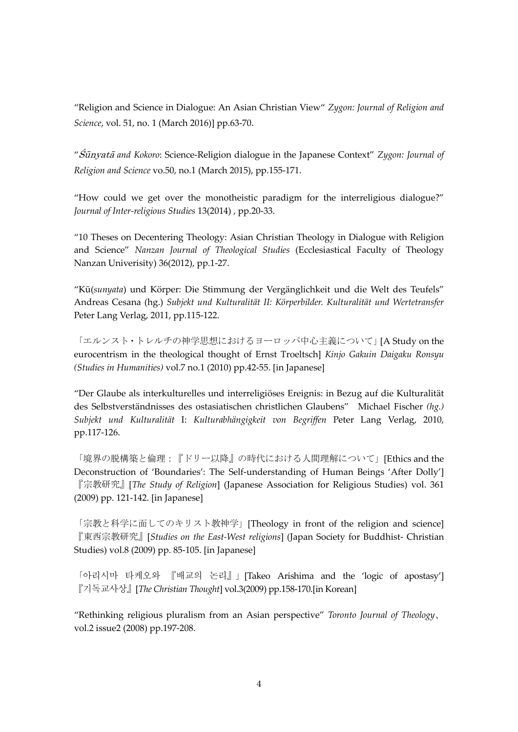"Religion and Science in Dialogue: An Asian Christian View" *Zygon: Journal of Religion and Science*, vol. 51, no. 1 (March 2016)] pp.63-70.

"Śūnyatā *and Kokoro*: Science-Religion dialogue in the Japanese Context" *Zygon: Journal of Religion and Science* vo.50, no.1 (March 2015), pp.155-171.

"How could we get over the monotheistic paradigm for the interreligious dialogue?" *Journal of Inter-religious Studies* 13(2014) , pp.20-33.

"10 Theses on Decentering Theology: Asian Christian Theology in Dialogue with Religion and Science" *Nanzan Journal of Theological Studies* (Ecclesiastical Faculty of Theology Nanzan Univerisity) 36(2012), pp.1-27.

"Kū(*sunyata*) und Körper: Die Stimmung der Vergänglichkeit und die Welt des Teufels" Andreas Cesana (hg.) *Subjekt und Kulturalität II: Körperbilder. Kulturalität und Wertetransfer* Peter Lang Verlag, 2011, pp.115-122.

「エルンスト・トレルチの神学思想におけるヨーロッパ中心主義について」[A Study on the eurocentrism in the theological thought of Ernst Troeltsch] *Kinjo Gakuin Daigaku Ronsyu (Studies in Humanities)* vol.7 no.1 (2010) pp.42-55. [in Japanese]

"Der Glaube als interkulturelles und interreligiöses Ereignis: in Bezug auf die Kulturalität des Selbstverständnisses des ostasiatischen christlichen Glaubens" Michael Fischer *(hg.) Subjekt und Kulturalität* I: *Kulturabhängigkeit von Begriffen* Peter Lang Verlag, 2010, pp.117-126.

「境界の脱構築と倫理:『ドリー以降』の時代における人間理解について」[Ethics and the Deconstruction of 'Boundaries': The Self-understanding of Human Beings 'After Dolly'] 『宗教研究』[*The Study of Religion*] (Japanese Association for Religious Studies) vol. 361 (2009) pp. 121-142. [in Japanese]

「宗教と科学に面してのキリスト教神学」[Theology in front of the religion and science] 『東西宗教研究』[*Studies on the East-West religions*] (Japan Society for Buddhist- Christian Studies) vol.8 (2009) pp. 85-105. [in Japanese]

「아리시마 타케오와 『배교의 논리』」[Takeo Arishima and the 'logic of apostasy'] 『기독교사상』[*The Christian Thought*] vol.3(2009) pp.158-170.[in Korean]

"Rethinking religious pluralism from an Asian perspective" *Toronto Journal of Theology*、 vol.2 issue2 (2008) pp.197-208.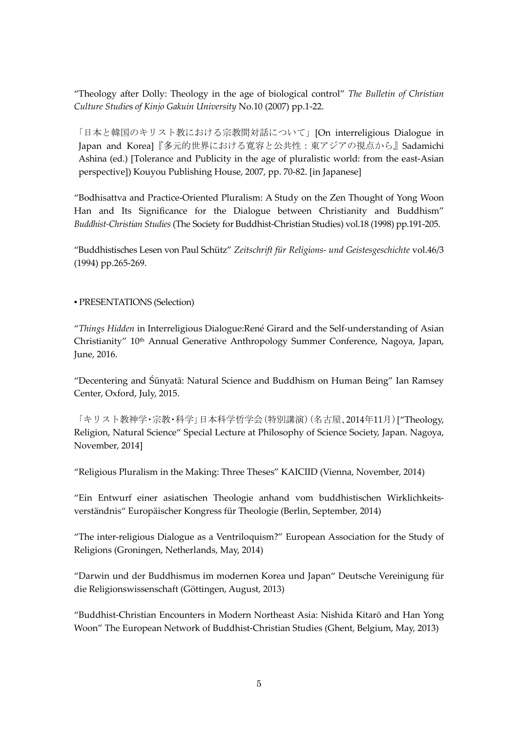"Theology after Dolly: Theology in the age of biological control" *The Bulletin of Christian Culture Studie*s *of Kinjo Gakuin University* No.10 (2007) pp.1-22.

「日本と韓国のキリスト教における宗教間対話について」[On interreligious Dialogue in Japan and Korea]『多元的世界における寛容と公共性:東アジアの視点から』Sadamichi Ashina (ed.) [Tolerance and Publicity in the age of pluralistic world: from the east-Asian perspective]) Kouyou Publishing House, 2007, pp. 70-82. [in Japanese]

"Bodhisattva and Practice-Oriented Pluralism: A Study on the Zen Thought of Yong Woon Han and Its Significance for the Dialogue between Christianity and Buddhism" *Buddhist-Christian Studies* (The Society for Buddhist-Christian Studies) vol.18 (1998) pp.191-205.

"Buddhistisches Lesen von Paul Schütz" *Zeitschrift für Religions- und Geistesgeschichte* vol.46/3 (1994) pp.265-269.

▪ PRESENTATIONS (Selection)

"*Things Hidden* in Interreligious Dialogue:René Girard and the Self-understanding of Asian Christianity" 10<sup>th</sup> Annual Generative Anthropology Summer Conference, Nagoya, Japan, June, 2016.

"Decentering and Śūnyatā: Natural Science and Buddhism on Human Being" Ian Ramsey Center, Oxford, July, 2015.

「キリスト教神学・宗教・科学」日本科学哲学会(特別講演)(名古屋、2014年11月)["Theology, Religion, Natural Science" Special Lecture at Philosophy of Science Society, Japan. Nagoya, November, 2014]

"Religious Pluralism in the Making: Three Theses" KAICIID (Vienna, November, 2014)

"Ein Entwurf einer asiatischen Theologie anhand vom buddhistischen Wirklichkeitsverständnis" Europäischer Kongress für Theologie (Berlin, September, 2014)

"The inter-religious Dialogue as a Ventriloquism?" European Association for the Study of Religions (Groningen, Netherlands, May, 2014)

"Darwin und der Buddhismus im modernen Korea und Japan" Deutsche Vereinigung für die Religionswissenschaft (Göttingen, August, 2013)

"Buddhist-Christian Encounters in Modern Northeast Asia: Nishida Kitarō and Han Yong Woon" The European Network of Buddhist-Christian Studies (Ghent, Belgium, May, 2013)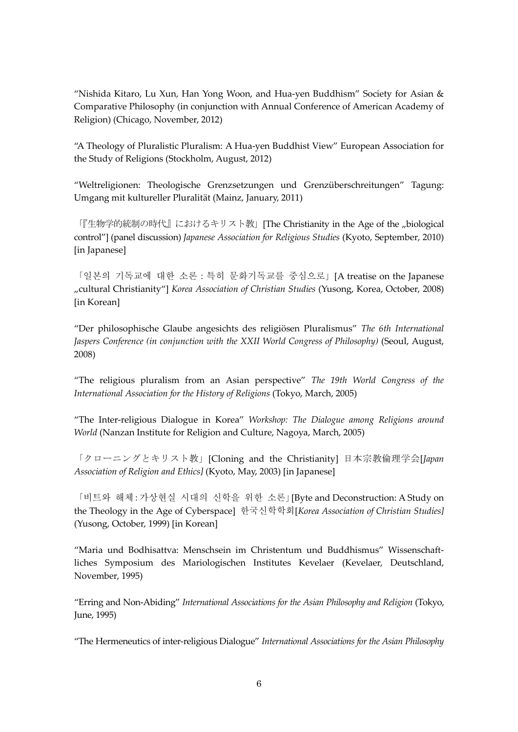"Nishida Kitaro, Lu Xun, Han Yong Woon, and Hua-yen Buddhism" Society for Asian & Comparative Philosophy (in conjunction with Annual Conference of American Academy of Religion) (Chicago, November, 2012)

"A Theology of Pluralistic Pluralism: A Hua-yen Buddhist View" European Association for the Study of Religions (Stockholm, August, 2012)

"Weltreligionen: Theologische Grenzsetzungen und Grenzüberschreitungen" Tagung: Umgang mit kultureller Pluralität (Mainz, January, 2011)

「『生物学的統制の時代』におけるキリスト教」[The Christianity in the Age of the "biological control"] (panel discussion) *Japanese Association for Religious Studies* (Kyoto, September, 2010) [in Japanese]

「일본의 기독교에 대한 소론:특히 문화기독교를 중심으로」[A treatise on the Japanese "cultural Christianity"] *Korea Association of Christian Studies* (Yusong, Korea, October, 2008) [in Korean]

"Der philosophische Glaube angesichts des religiösen Pluralismus" *The 6th International Jaspers Conference (in conjunction with the XXII World Congress of Philosophy)* (Seoul, August, 2008)

"The religious pluralism from an Asian perspective" *The 19th World Congress of the International Association for the History of Religions* (Tokyo, March, 2005)

"The Inter-religious Dialogue in Korea" *Workshop: The Dialogue among Religions around World* (Nanzan Institute for Religion and Culture, Nagoya, March, 2005)

「クローニングとキリスト教」[Cloning and the Christianity] 日本宗教倫理学会[*Japan Association of Religion and Ethics]* (Kyoto, May, 2003) [in Japanese]

「비트와 해체:가상현실 시대의 신학을 위한 소론」[Byte and Deconstruction: A Study on the Theology in the Age of Cyberspace] 한국신학학회[*Korea Association of Christian Studies]* (Yusong, October, 1999) [in Korean]

"Maria und Bodhisattva: Menschsein im Christentum und Buddhismus" Wissenschaftliches Symposium des Mariologischen Institutes Kevelaer (Kevelaer, Deutschland, November, 1995)

"Erring and Non-Abiding" *International Associations for the Asian Philosophy and Religion* (Tokyo, June, 1995)

"The Hermeneutics of inter-religious Dialogue" *International Associations for the Asian Philosophy*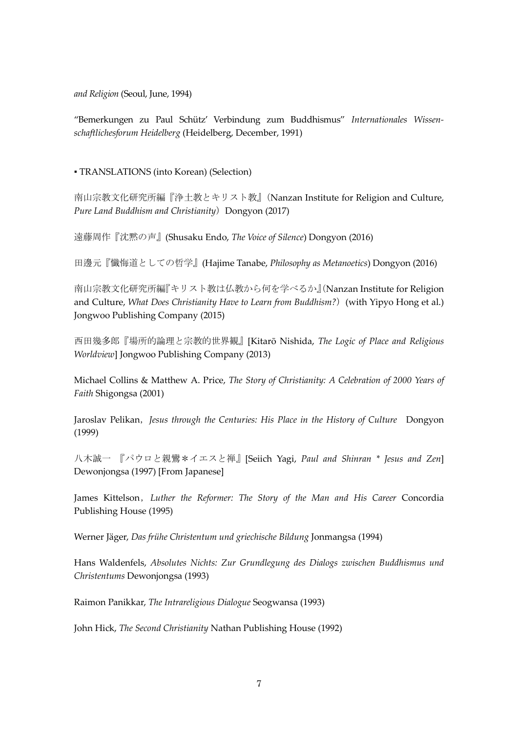*and Religion* (Seoul, June, 1994)

"Bemerkungen zu Paul Schütz' Verbindung zum Buddhismus" *Internationales Wissenschaftlichesforum Heidelberg* (Heidelberg, December, 1991)

▪ TRANSLATIONS (into Korean) (Selection)

南山宗教文化研究所編『浄土教とキリスト教』(Nanzan Institute for Religion and Culture, *Pure Land Buddhism and Christianity*) Dongyon (2017)

遠藤周作『沈黙の声』(Shusaku Endo, *The Voice of Silence*) Dongyon (2016)

田邊元『懺悔道としての哲学』(Hajime Tanabe, *Philosophy as Metanoetics*) Dongyon (2016)

南山宗教文化研究所編『キリスト教は仏教から何を学べるか』(Nanzan Institute for Religion and Culture, *What Does Christianity Have to Learn from Buddhism?*)(with Yipyo Hong et al.) Jongwoo Publishing Company (2015)

西田幾多郎『場所的論理と宗教的世界観』[Kitarō Nishida, *The Logic of Place and Religious Worldview*] Jongwoo Publishing Company (2013)

Michael Collins & Matthew A. Price, *The Story of Christianity: A Celebration of 2000 Years of Faith* Shigongsa (2001)

Jaroslav Pelikan,*Jesus through the Centuries: His Place in the History of Culture* Dongyon (1999)

八木誠一 『パウロと親鸞\*イエスと禅』[Seiich Yagi, *Paul and Shinran \* Jesus and Zen*] Dewonjongsa (1997) [From Japanese]

James Kittelson,*Luther the Reformer: The Story of the Man and His Career* Concordia Publishing House (1995)

Werner Jäger, *Das frühe Christentum und griechische Bildung* Jonmangsa (1994)

Hans Waldenfels, *Absolutes Nichts: Zur Grundlegung des Dialogs zwischen Buddhismus und Christentums* Dewonjongsa (1993)

Raimon Panikkar, *The Intrareligious Dialogue* Seogwansa (1993)

John Hick, *The Second Christianity* Nathan Publishing House (1992)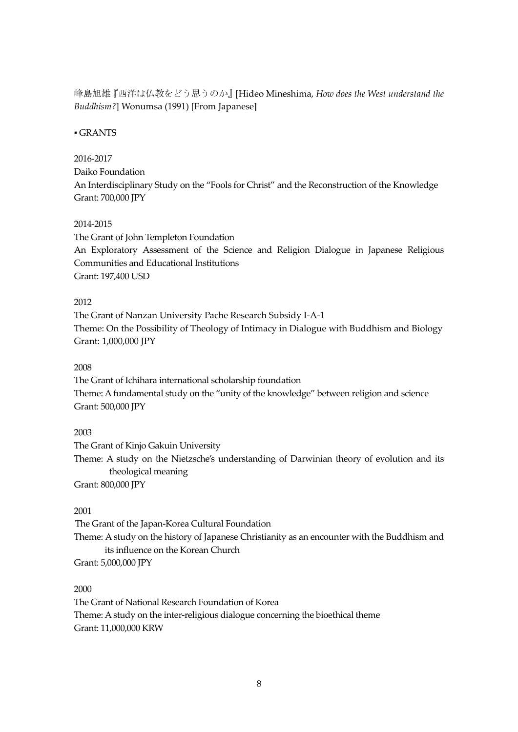峰島旭雄『西洋は仏教をどう思うのか』[Hideo Mineshima, *How does the West understand the Buddhism?*] Wonumsa (1991) [From Japanese]

## ▪ GRANTS

#### 2016-2017

#### Daiko Foundation

An Interdisciplinary Study on the "Fools for Christ" and the Reconstruction of the Knowledge Grant: 700,000 JPY

### 2014-2015

The Grant of John Templeton Foundation An Exploratory Assessment of the Science and Religion Dialogue in Japanese Religious Communities and Educational Institutions Grant: 197,400 USD

### 2012

The Grant of Nanzan University Pache Research Subsidy I-A-1 Theme: On the Possibility of Theology of Intimacy in Dialogue with Buddhism and Biology Grant: 1,000,000 JPY

#### 2008

The Grant of Ichihara international scholarship foundation Theme: A fundamental study on the "unity of the knowledge" between religion and science Grant: 500,000 JPY

#### 2003

The Grant of Kinjo Gakuin University Theme: A study on the Nietzsche's understanding of Darwinian theory of evolution and its theological meaning

Grant: 800,000 JPY

## 2001

The Grant of the Japan-Korea Cultural Foundation Theme: A study on the history of Japanese Christianity as an encounter with the Buddhism and its influence on the Korean Church

Grant: 5,000,000 JPY

## 2000

The Grant of National Research Foundation of Korea Theme: A study on the inter-religious dialogue concerning the bioethical theme Grant: 11,000,000 KRW